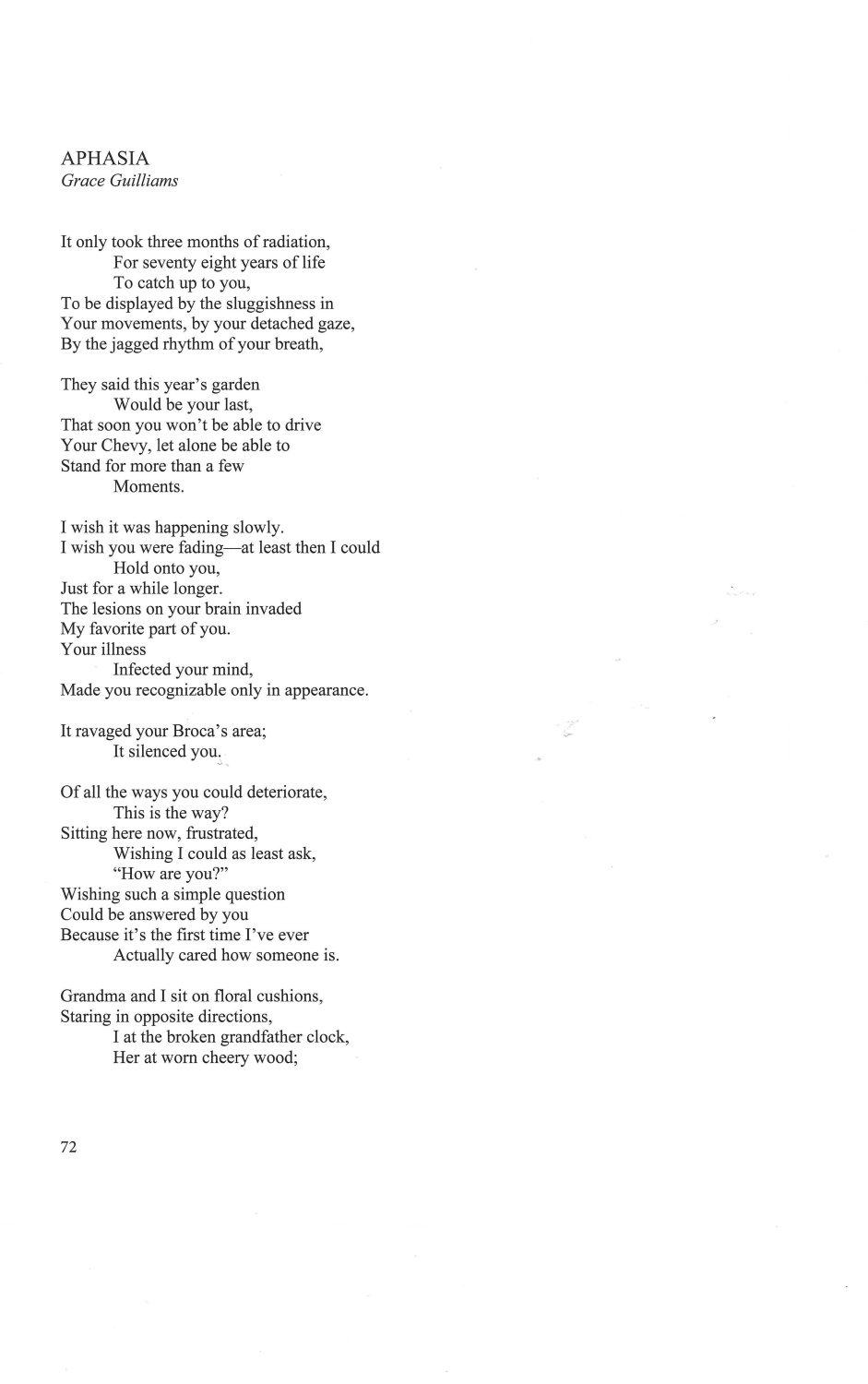## APHASIA *Grace Guilliams*

It only took three months of radiation, For seventy eight years of life To catch up to you, To be displayed by the sluggishness in Your movements, by your detached gaze, By the jagged rhythm of your breath,

They said this year's garden Would be your last, That soon you won't be able to drive Your Chevy, let alone be able to Stand for more than a few Moments.

I wish it was happening slowly. I wish you were fading-at least then I could Hold onto you, Just for a while longer. The lesions on your brain invaded My favorite part of you. Your illness Infected your mind, Made you recognizable only in appearance.

It ravaged your Broca's area; It silenced you,

Of all the ways you could deteriorate, This is the way? Sitting here now, frustrated, Wishing I could as least ask, "How are you?" Wishing such a simple question Could be answered by you Because it's the first time I've ever Actually cared how someone is.

Grandma and I sit on floral cushions, Staring in opposite directions, I at the broken grandfather clock, Her at worn cheery wood;